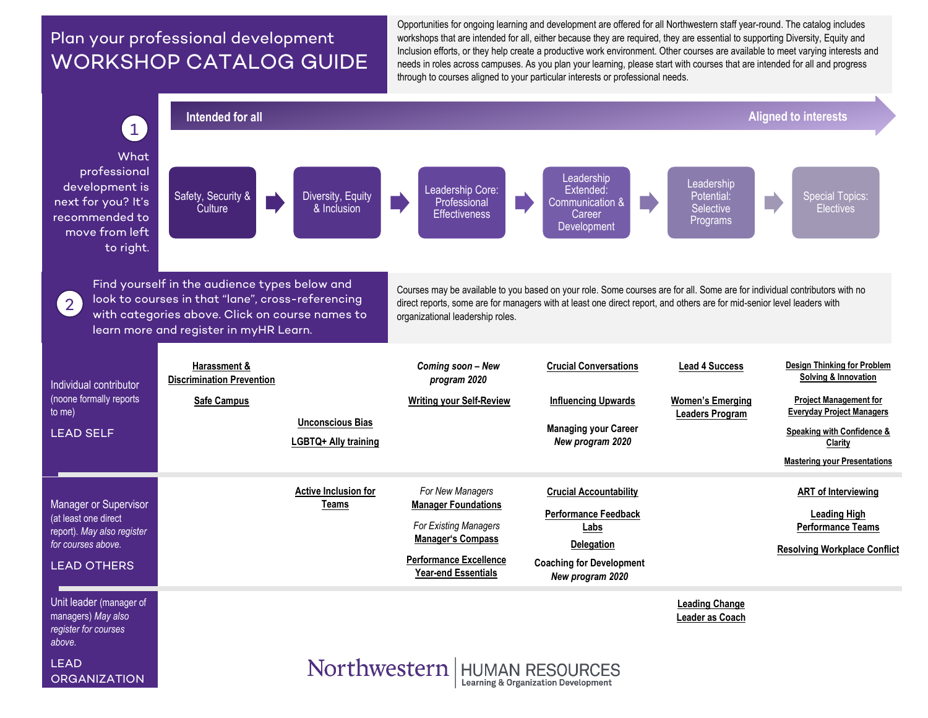## Plan your professional development WORKSHOP CATALOG GUIDE

Opportunities for ongoing learning and development are offered for all Northwestern staff year-round. The catalog includes workshops that are intended for all, either because they are required, they are essential to supporting Diversity, Equity and Inclusion efforts, or they help create a productive work environment. Other courses are available to meet varying interests and needs in roles across campuses. As you plan your learning, please start with courses that are intended for all and progress through to courses aligned to your particular interests or professional needs.

<span id="page-0-0"></span>

Learning & Organization Development

**ORGANIZATION**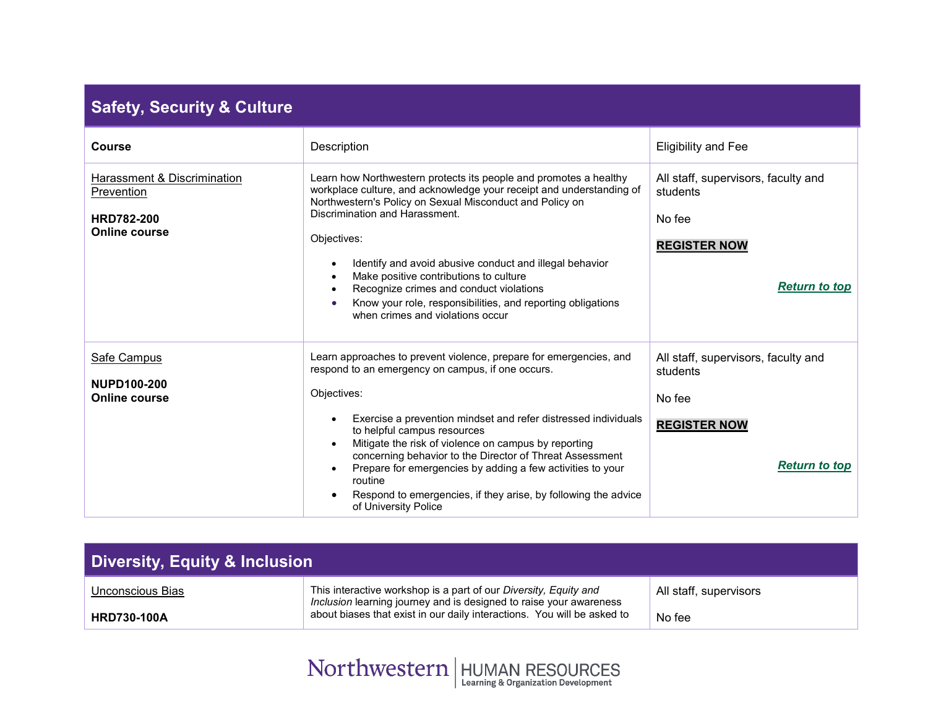## **Safety, Security & Culture**

<span id="page-1-1"></span>

| <b>Course</b>                                                                          | Description                                                                                                                                                                                                                                                                                                                                                                                                                                                                                                                    | <b>Eligibility and Fee</b>                                                                               |
|----------------------------------------------------------------------------------------|--------------------------------------------------------------------------------------------------------------------------------------------------------------------------------------------------------------------------------------------------------------------------------------------------------------------------------------------------------------------------------------------------------------------------------------------------------------------------------------------------------------------------------|----------------------------------------------------------------------------------------------------------|
| Harassment & Discrimination<br>Prevention<br><b>HRD782-200</b><br><b>Online course</b> | Learn how Northwestern protects its people and promotes a healthy<br>workplace culture, and acknowledge your receipt and understanding of<br>Northwestern's Policy on Sexual Misconduct and Policy on<br>Discrimination and Harassment.<br>Objectives:<br>Identify and avoid abusive conduct and illegal behavior<br>Make positive contributions to culture<br>Recognize crimes and conduct violations<br>Know your role, responsibilities, and reporting obligations<br>when crimes and violations occur                      | All staff, supervisors, faculty and<br>students<br>No fee<br><b>REGISTER NOW</b><br><b>Return to top</b> |
| Safe Campus<br><b>NUPD100-200</b><br><b>Online course</b>                              | Learn approaches to prevent violence, prepare for emergencies, and<br>respond to an emergency on campus, if one occurs.<br>Objectives:<br>Exercise a prevention mindset and refer distressed individuals<br>to helpful campus resources<br>Mitigate the risk of violence on campus by reporting<br>concerning behavior to the Director of Threat Assessment<br>Prepare for emergencies by adding a few activities to your<br>routine<br>Respond to emergencies, if they arise, by following the advice<br>of University Police | All staff, supervisors, faculty and<br>students<br>No fee<br><b>REGISTER NOW</b><br><b>Return to top</b> |

<span id="page-1-2"></span><span id="page-1-0"></span>

| Diversity, Equity & Inclusion |                                                                                                                                        |                        |  |
|-------------------------------|----------------------------------------------------------------------------------------------------------------------------------------|------------------------|--|
| Unconscious Bias              | This interactive workshop is a part of our Diversity, Equity and<br>Inclusion learning journey and is designed to raise your awareness | All staff, supervisors |  |
| <b>HRD730-100A</b>            | about biases that exist in our daily interactions. You will be asked to                                                                | No fee                 |  |

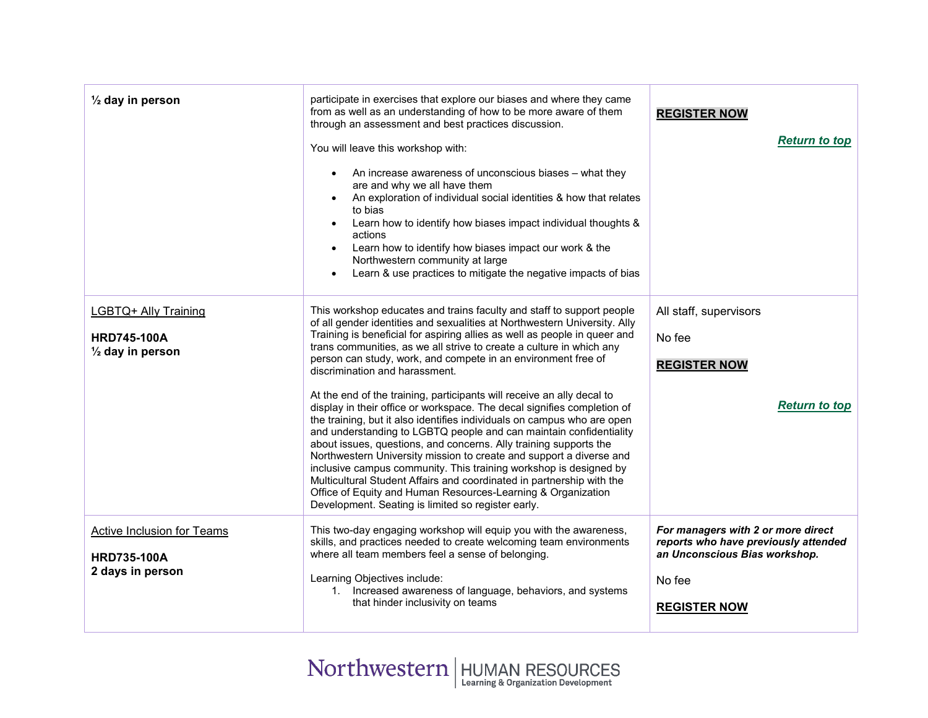<span id="page-2-1"></span><span id="page-2-0"></span>

| $\frac{1}{2}$ day in person                                               | participate in exercises that explore our biases and where they came<br>from as well as an understanding of how to be more aware of them<br>through an assessment and best practices discussion.<br>You will leave this workshop with:<br>An increase awareness of unconscious biases – what they<br>are and why we all have them<br>An exploration of individual social identities & how that relates<br>to bias<br>Learn how to identify how biases impact individual thoughts &<br>actions<br>Learn how to identify how biases impact our work & the<br>Northwestern community at large<br>Learn & use practices to mitigate the negative impacts of bias                                                                                                                                                                                                                                                                                                                                                                                                                                                                     | <b>REGISTER NOW</b><br><b>Return to top</b>                                                                                                  |
|---------------------------------------------------------------------------|----------------------------------------------------------------------------------------------------------------------------------------------------------------------------------------------------------------------------------------------------------------------------------------------------------------------------------------------------------------------------------------------------------------------------------------------------------------------------------------------------------------------------------------------------------------------------------------------------------------------------------------------------------------------------------------------------------------------------------------------------------------------------------------------------------------------------------------------------------------------------------------------------------------------------------------------------------------------------------------------------------------------------------------------------------------------------------------------------------------------------------|----------------------------------------------------------------------------------------------------------------------------------------------|
| LGBTQ+ Ally Training<br><b>HRD745-100A</b><br>$\frac{1}{2}$ day in person | This workshop educates and trains faculty and staff to support people<br>of all gender identities and sexualities at Northwestern University. Ally<br>Training is beneficial for aspiring allies as well as people in queer and<br>trans communities, as we all strive to create a culture in which any<br>person can study, work, and compete in an environment free of<br>discrimination and harassment.<br>At the end of the training, participants will receive an ally decal to<br>display in their office or workspace. The decal signifies completion of<br>the training, but it also identifies individuals on campus who are open<br>and understanding to LGBTQ people and can maintain confidentiality<br>about issues, questions, and concerns. Ally training supports the<br>Northwestern University mission to create and support a diverse and<br>inclusive campus community. This training workshop is designed by<br>Multicultural Student Affairs and coordinated in partnership with the<br>Office of Equity and Human Resources-Learning & Organization<br>Development. Seating is limited so register early. | All staff, supervisors<br>No fee<br><b>REGISTER NOW</b><br><b>Return to top</b>                                                              |
| Active Inclusion for Teams<br><b>HRD735-100A</b><br>2 days in person      | This two-day engaging workshop will equip you with the awareness,<br>skills, and practices needed to create welcoming team environments<br>where all team members feel a sense of belonging.<br>Learning Objectives include:<br>1. Increased awareness of language, behaviors, and systems<br>that hinder inclusivity on teams                                                                                                                                                                                                                                                                                                                                                                                                                                                                                                                                                                                                                                                                                                                                                                                                   | For managers with 2 or more direct<br>reports who have previously attended<br>an Unconscious Bias workshop.<br>No fee<br><b>REGISTER NOW</b> |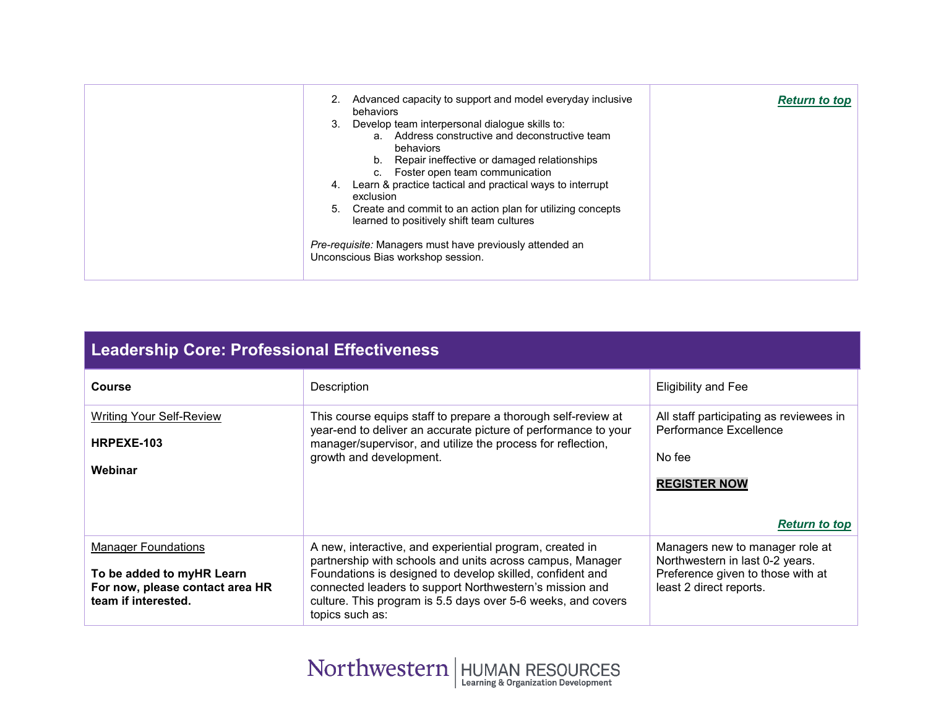|  | Advanced capacity to support and model everyday inclusive<br>behaviors<br>Develop team interpersonal dialogue skills to:<br>3.<br>a. Address constructive and deconstructive team<br>behaviors<br>Repair ineffective or damaged relationships<br>Foster open team communication<br>Learn & practice tactical and practical ways to interrupt<br>4.<br>exclusion<br>Create and commit to an action plan for utilizing concepts<br>5.<br>learned to positively shift team cultures<br>Pre-requisite: Managers must have previously attended an<br>Unconscious Bias workshop session. | <b>Return to top</b> |
|--|------------------------------------------------------------------------------------------------------------------------------------------------------------------------------------------------------------------------------------------------------------------------------------------------------------------------------------------------------------------------------------------------------------------------------------------------------------------------------------------------------------------------------------------------------------------------------------|----------------------|
|--|------------------------------------------------------------------------------------------------------------------------------------------------------------------------------------------------------------------------------------------------------------------------------------------------------------------------------------------------------------------------------------------------------------------------------------------------------------------------------------------------------------------------------------------------------------------------------------|----------------------|

|  | <b>Leadership Core: Professional Effectiveness</b> |
|--|----------------------------------------------------|
|  |                                                    |

<span id="page-3-1"></span><span id="page-3-0"></span>

| <b>Course</b>                                                                                                     | Description                                                                                                                                                                                                                                                                                                                      | <b>Eligibility and Fee</b>                                                                                                         |
|-------------------------------------------------------------------------------------------------------------------|----------------------------------------------------------------------------------------------------------------------------------------------------------------------------------------------------------------------------------------------------------------------------------------------------------------------------------|------------------------------------------------------------------------------------------------------------------------------------|
| <b>Writing Your Self-Review</b><br>HRPEXE-103<br>Webinar                                                          | This course equips staff to prepare a thorough self-review at<br>year-end to deliver an accurate picture of performance to your<br>manager/supervisor, and utilize the process for reflection,<br>growth and development.                                                                                                        | All staff participating as reviewees in<br>Performance Excellence<br>No fee                                                        |
|                                                                                                                   |                                                                                                                                                                                                                                                                                                                                  | <b>REGISTER NOW</b><br><b>Return to top</b>                                                                                        |
| <b>Manager Foundations</b><br>To be added to myHR Learn<br>For now, please contact area HR<br>team if interested. | A new, interactive, and experiential program, created in<br>partnership with schools and units across campus, Manager<br>Foundations is designed to develop skilled, confident and<br>connected leaders to support Northwestern's mission and<br>culture. This program is 5.5 days over 5-6 weeks, and covers<br>topics such as: | Managers new to manager role at<br>Northwestern in last 0-2 years.<br>Preference given to those with at<br>least 2 direct reports. |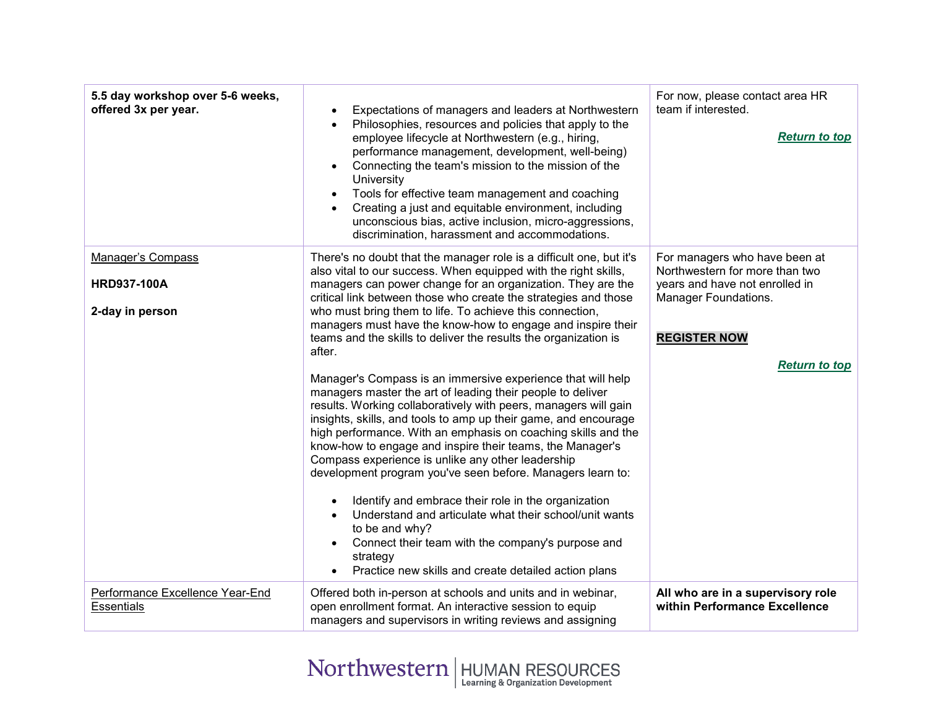<span id="page-4-0"></span>

| 5.5 day workshop over 5-6 weeks,<br>offered 3x per year. | Expectations of managers and leaders at Northwestern<br>Philosophies, resources and policies that apply to the<br>employee lifecycle at Northwestern (e.g., hiring,<br>performance management, development, well-being)<br>Connecting the team's mission to the mission of the<br>University<br>Tools for effective team management and coaching<br>$\bullet$<br>Creating a just and equitable environment, including<br>unconscious bias, active inclusion, micro-aggressions,<br>discrimination, harassment and accommodations.                                                                                                                                                                                                                                            | For now, please contact area HR<br>team if interested.<br><b>Return to top</b>                    |
|----------------------------------------------------------|------------------------------------------------------------------------------------------------------------------------------------------------------------------------------------------------------------------------------------------------------------------------------------------------------------------------------------------------------------------------------------------------------------------------------------------------------------------------------------------------------------------------------------------------------------------------------------------------------------------------------------------------------------------------------------------------------------------------------------------------------------------------------|---------------------------------------------------------------------------------------------------|
| Manager's Compass<br><b>HRD937-100A</b>                  | There's no doubt that the manager role is a difficult one, but it's<br>also vital to our success. When equipped with the right skills,<br>managers can power change for an organization. They are the                                                                                                                                                                                                                                                                                                                                                                                                                                                                                                                                                                        | For managers who have been at<br>Northwestern for more than two<br>years and have not enrolled in |
| 2-day in person                                          | critical link between those who create the strategies and those<br>who must bring them to life. To achieve this connection,<br>managers must have the know-how to engage and inspire their<br>teams and the skills to deliver the results the organization is<br>after.                                                                                                                                                                                                                                                                                                                                                                                                                                                                                                      | Manager Foundations.<br><b>REGISTER NOW</b>                                                       |
|                                                          | Manager's Compass is an immersive experience that will help<br>managers master the art of leading their people to deliver<br>results. Working collaboratively with peers, managers will gain<br>insights, skills, and tools to amp up their game, and encourage<br>high performance. With an emphasis on coaching skills and the<br>know-how to engage and inspire their teams, the Manager's<br>Compass experience is unlike any other leadership<br>development program you've seen before. Managers learn to:<br>Identify and embrace their role in the organization<br>Understand and articulate what their school/unit wants<br>to be and why?<br>Connect their team with the company's purpose and<br>strategy<br>Practice new skills and create detailed action plans | <b>Return to top</b>                                                                              |
| Performance Excellence Year-End<br><b>Essentials</b>     | Offered both in-person at schools and units and in webinar,<br>open enrollment format. An interactive session to equip<br>managers and supervisors in writing reviews and assigning                                                                                                                                                                                                                                                                                                                                                                                                                                                                                                                                                                                          | All who are in a supervisory role<br>within Performance Excellence                                |

<span id="page-4-1"></span>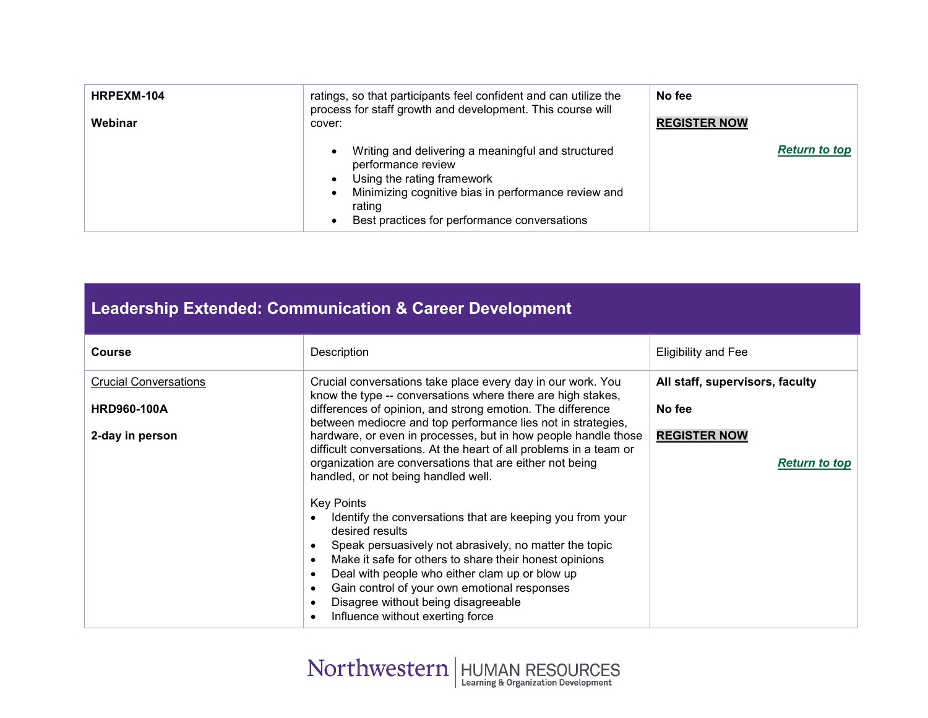| HRPEXM-104<br>Webinar | ratings, so that participants feel confident and can utilize the<br>process for staff growth and development. This course will<br>cover:                                                                                | No fee<br><b>REGISTER NOW</b> |
|-----------------------|-------------------------------------------------------------------------------------------------------------------------------------------------------------------------------------------------------------------------|-------------------------------|
|                       | Writing and delivering a meaningful and structured<br>performance review<br>Using the rating framework<br>Minimizing cognitive bias in performance review and<br>rating<br>Best practices for performance conversations | <b>Return to top</b>          |

<span id="page-5-0"></span>

| <b>Leadership Extended: Communication &amp; Career Development</b> |                                                                                                                                                                                                                                                                                                                                                                                                                                                                                               |                                             |  |
|--------------------------------------------------------------------|-----------------------------------------------------------------------------------------------------------------------------------------------------------------------------------------------------------------------------------------------------------------------------------------------------------------------------------------------------------------------------------------------------------------------------------------------------------------------------------------------|---------------------------------------------|--|
| <b>Course</b>                                                      | Description                                                                                                                                                                                                                                                                                                                                                                                                                                                                                   | <b>Eligibility and Fee</b>                  |  |
| <b>Crucial Conversations</b><br><b>HRD960-100A</b>                 | Crucial conversations take place every day in our work. You<br>know the type -- conversations where there are high stakes,<br>differences of opinion, and strong emotion. The difference                                                                                                                                                                                                                                                                                                      | All staff, supervisors, faculty<br>No fee   |  |
| 2-day in person                                                    | between mediocre and top performance lies not in strategies,<br>hardware, or even in processes, but in how people handle those<br>difficult conversations. At the heart of all problems in a team or<br>organization are conversations that are either not being<br>handled, or not being handled well.                                                                                                                                                                                       | <b>REGISTER NOW</b><br><b>Return to top</b> |  |
|                                                                    | <b>Key Points</b><br>Identify the conversations that are keeping you from your<br>$\bullet$<br>desired results<br>Speak persuasively not abrasively, no matter the topic<br>$\bullet$<br>Make it safe for others to share their honest opinions<br>$\bullet$<br>Deal with people who either clam up or blow up<br>$\bullet$<br>Gain control of your own emotional responses<br>$\bullet$<br>Disagree without being disagreeable<br>$\bullet$<br>Influence without exerting force<br>$\bullet$ |                                             |  |

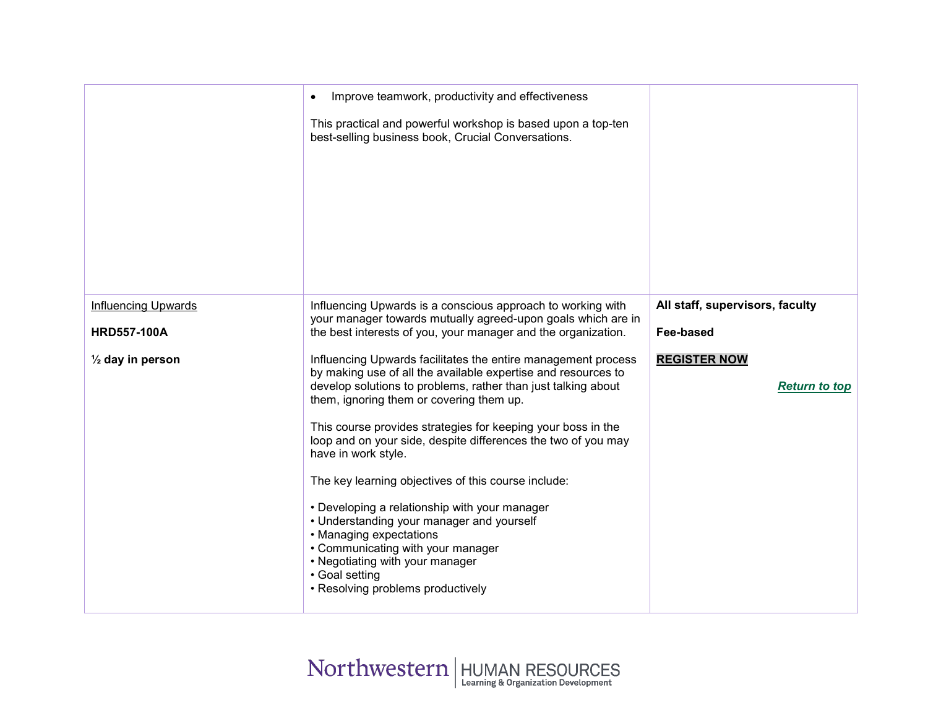<span id="page-6-0"></span>

|                                                  | Improve teamwork, productivity and effectiveness<br>$\bullet$<br>This practical and powerful workshop is based upon a top-ten<br>best-selling business book, Crucial Conversations.                                                                                                                                                                                                                                                                                                                                                                                                                                                                                                                                |                                              |
|--------------------------------------------------|--------------------------------------------------------------------------------------------------------------------------------------------------------------------------------------------------------------------------------------------------------------------------------------------------------------------------------------------------------------------------------------------------------------------------------------------------------------------------------------------------------------------------------------------------------------------------------------------------------------------------------------------------------------------------------------------------------------------|----------------------------------------------|
| <b>Influencing Upwards</b><br><b>HRD557-100A</b> | Influencing Upwards is a conscious approach to working with<br>your manager towards mutually agreed-upon goals which are in<br>the best interests of you, your manager and the organization.                                                                                                                                                                                                                                                                                                                                                                                                                                                                                                                       | All staff, supervisors, faculty<br>Fee-based |
| $\frac{1}{2}$ day in person                      | Influencing Upwards facilitates the entire management process<br>by making use of all the available expertise and resources to<br>develop solutions to problems, rather than just talking about<br>them, ignoring them or covering them up.<br>This course provides strategies for keeping your boss in the<br>loop and on your side, despite differences the two of you may<br>have in work style.<br>The key learning objectives of this course include:<br>• Developing a relationship with your manager<br>• Understanding your manager and yourself<br>• Managing expectations<br>• Communicating with your manager<br>• Negotiating with your manager<br>• Goal setting<br>• Resolving problems productively | <b>REGISTER NOW</b><br><b>Return to top</b>  |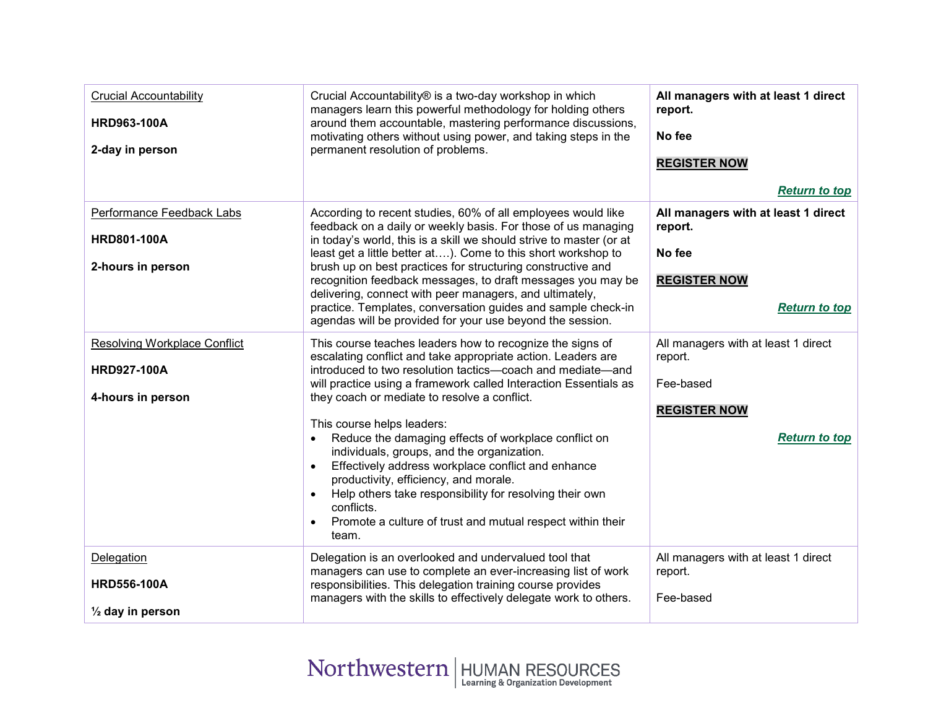<span id="page-7-3"></span><span id="page-7-2"></span><span id="page-7-1"></span><span id="page-7-0"></span>

| <b>Crucial Accountability</b><br><b>HRD963-100A</b><br>2-day in person         | Crucial Accountability® is a two-day workshop in which<br>managers learn this powerful methodology for holding others<br>around them accountable, mastering performance discussions,<br>motivating others without using power, and taking steps in the<br>permanent resolution of problems.                                                                                                                                                                                                                                                                                                                                                                                                                 | All managers with at least 1 direct<br>report.<br>No fee<br><b>REGISTER NOW</b><br><b>Return to top</b>    |
|--------------------------------------------------------------------------------|-------------------------------------------------------------------------------------------------------------------------------------------------------------------------------------------------------------------------------------------------------------------------------------------------------------------------------------------------------------------------------------------------------------------------------------------------------------------------------------------------------------------------------------------------------------------------------------------------------------------------------------------------------------------------------------------------------------|------------------------------------------------------------------------------------------------------------|
| Performance Feedback Labs<br><b>HRD801-100A</b><br>2-hours in person           | According to recent studies, 60% of all employees would like<br>feedback on a daily or weekly basis. For those of us managing<br>in today's world, this is a skill we should strive to master (or at<br>least get a little better at). Come to this short workshop to<br>brush up on best practices for structuring constructive and<br>recognition feedback messages, to draft messages you may be<br>delivering, connect with peer managers, and ultimately,<br>practice. Templates, conversation guides and sample check-in<br>agendas will be provided for your use beyond the session.                                                                                                                 | All managers with at least 1 direct<br>report.<br>No fee<br><b>REGISTER NOW</b><br><b>Return to top</b>    |
| <b>Resolving Workplace Conflict</b><br><b>HRD927-100A</b><br>4-hours in person | This course teaches leaders how to recognize the signs of<br>escalating conflict and take appropriate action. Leaders are<br>introduced to two resolution tactics-coach and mediate-and<br>will practice using a framework called Interaction Essentials as<br>they coach or mediate to resolve a conflict.<br>This course helps leaders:<br>Reduce the damaging effects of workplace conflict on<br>individuals, groups, and the organization.<br>Effectively address workplace conflict and enhance<br>productivity, efficiency, and morale.<br>Help others take responsibility for resolving their own<br>conflicts.<br>Promote a culture of trust and mutual respect within their<br>$\bullet$<br>team. | All managers with at least 1 direct<br>report.<br>Fee-based<br><b>REGISTER NOW</b><br><b>Return to top</b> |
| Delegation<br><b>HRD556-100A</b><br>$\frac{1}{2}$ day in person                | Delegation is an overlooked and undervalued tool that<br>managers can use to complete an ever-increasing list of work<br>responsibilities. This delegation training course provides<br>managers with the skills to effectively delegate work to others.                                                                                                                                                                                                                                                                                                                                                                                                                                                     | All managers with at least 1 direct<br>report.<br>Fee-based                                                |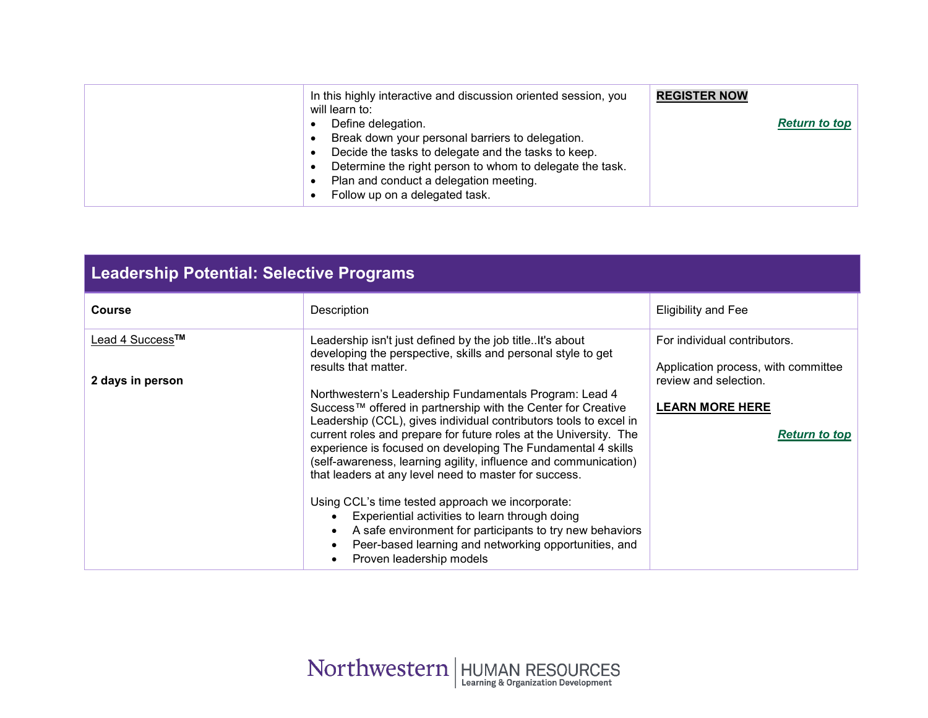| In this highly interactive and discussion oriented session, you<br>will learn to:<br>Define delegation.<br>Break down your personal barriers to delegation.<br>Decide the tasks to delegate and the tasks to keep.<br>Determine the right person to whom to delegate the task.<br>Plan and conduct a delegation meeting.<br>Follow up on a delegated task. | <b>REGISTER NOW</b><br><b>Return to top</b> |
|------------------------------------------------------------------------------------------------------------------------------------------------------------------------------------------------------------------------------------------------------------------------------------------------------------------------------------------------------------|---------------------------------------------|
|------------------------------------------------------------------------------------------------------------------------------------------------------------------------------------------------------------------------------------------------------------------------------------------------------------------------------------------------------------|---------------------------------------------|

<span id="page-8-0"></span>

| <b>Leadership Potential: Selective Programs</b> |                                                                                                                                                                                                                                                                                                                                                                                                                                                                                                                                                                                                                                                                                                                                                                                                                                                                         |                                                                                                                                                |
|-------------------------------------------------|-------------------------------------------------------------------------------------------------------------------------------------------------------------------------------------------------------------------------------------------------------------------------------------------------------------------------------------------------------------------------------------------------------------------------------------------------------------------------------------------------------------------------------------------------------------------------------------------------------------------------------------------------------------------------------------------------------------------------------------------------------------------------------------------------------------------------------------------------------------------------|------------------------------------------------------------------------------------------------------------------------------------------------|
| <b>Course</b>                                   | Description                                                                                                                                                                                                                                                                                                                                                                                                                                                                                                                                                                                                                                                                                                                                                                                                                                                             | <b>Eligibility and Fee</b>                                                                                                                     |
| Lead 4 Success™<br>2 days in person             | Leadership isn't just defined by the job titleIt's about<br>developing the perspective, skills and personal style to get<br>results that matter.<br>Northwestern's Leadership Fundamentals Program: Lead 4<br>Success™ offered in partnership with the Center for Creative<br>Leadership (CCL), gives individual contributors tools to excel in<br>current roles and prepare for future roles at the University. The<br>experience is focused on developing The Fundamental 4 skills<br>(self-awareness, learning agility, influence and communication)<br>that leaders at any level need to master for success.<br>Using CCL's time tested approach we incorporate:<br>Experiential activities to learn through doing<br>A safe environment for participants to try new behaviors<br>Peer-based learning and networking opportunities, and<br>Proven leadership models | For individual contributors.<br>Application process, with committee<br>review and selection.<br><b>LEARN MORE HERE</b><br><b>Return to top</b> |

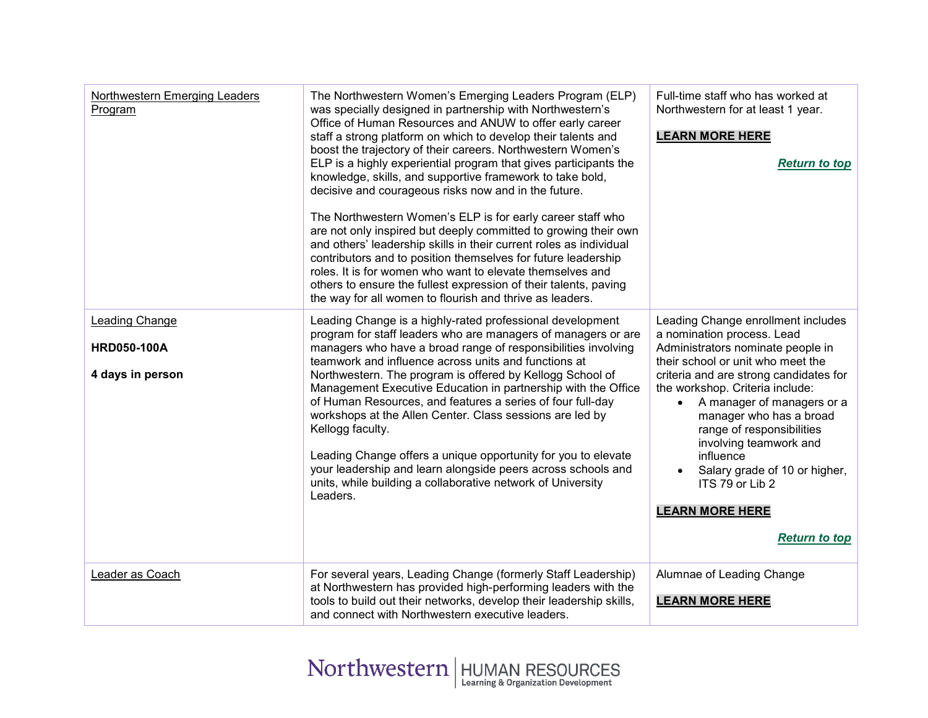<span id="page-9-2"></span><span id="page-9-1"></span><span id="page-9-0"></span>

| Northwestern Emerging Leaders<br>Program                        | The Northwestern Women's Emerging Leaders Program (ELP)<br>was specially designed in partnership with Northwestern's<br>Office of Human Resources and ANUW to offer early career<br>staff a strong platform on which to develop their talents and<br>boost the trajectory of their careers. Northwestern Women's<br>ELP is a highly experiential program that gives participants the<br>knowledge, skills, and supportive framework to take bold,<br>decisive and courageous risks now and in the future.<br>The Northwestern Women's ELP is for early career staff who<br>are not only inspired but deeply committed to growing their own<br>and others' leadership skills in their current roles as individual<br>contributors and to position themselves for future leadership<br>roles. It is for women who want to elevate themselves and<br>others to ensure the fullest expression of their talents, paving<br>the way for all women to flourish and thrive as leaders. | Full-time staff who has worked at<br>Northwestern for at least 1 year.<br><b>LEARN MORE HERE</b><br><b>Return to top</b>                                                                                                                                                                                                                                                                                                                                                |
|-----------------------------------------------------------------|--------------------------------------------------------------------------------------------------------------------------------------------------------------------------------------------------------------------------------------------------------------------------------------------------------------------------------------------------------------------------------------------------------------------------------------------------------------------------------------------------------------------------------------------------------------------------------------------------------------------------------------------------------------------------------------------------------------------------------------------------------------------------------------------------------------------------------------------------------------------------------------------------------------------------------------------------------------------------------|-------------------------------------------------------------------------------------------------------------------------------------------------------------------------------------------------------------------------------------------------------------------------------------------------------------------------------------------------------------------------------------------------------------------------------------------------------------------------|
| <b>Leading Change</b><br><b>HRD050-100A</b><br>4 days in person | Leading Change is a highly-rated professional development<br>program for staff leaders who are managers of managers or are<br>managers who have a broad range of responsibilities involving<br>teamwork and influence across units and functions at<br>Northwestern. The program is offered by Kellogg School of<br>Management Executive Education in partnership with the Office<br>of Human Resources, and features a series of four full-day<br>workshops at the Allen Center. Class sessions are led by<br>Kellogg faculty.<br>Leading Change offers a unique opportunity for you to elevate<br>your leadership and learn alongside peers across schools and<br>units, while building a collaborative network of University<br>Leaders.                                                                                                                                                                                                                                    | Leading Change enrollment includes<br>a nomination process. Lead<br>Administrators nominate people in<br>their school or unit who meet the<br>criteria and are strong candidates for<br>the workshop. Criteria include:<br>A manager of managers or a<br>$\bullet$<br>manager who has a broad<br>range of responsibilities<br>involving teamwork and<br>influence<br>Salary grade of 10 or higher,<br>ITS 79 or Lib 2<br><b>LEARN MORE HERE</b><br><b>Return to top</b> |
| Leader as Coach                                                 | For several years, Leading Change (formerly Staff Leadership)<br>at Northwestern has provided high-performing leaders with the<br>tools to build out their networks, develop their leadership skills,<br>and connect with Northwestern executive leaders.                                                                                                                                                                                                                                                                                                                                                                                                                                                                                                                                                                                                                                                                                                                      | Alumnae of Leading Change<br><b>LEARN MORE HERE</b>                                                                                                                                                                                                                                                                                                                                                                                                                     |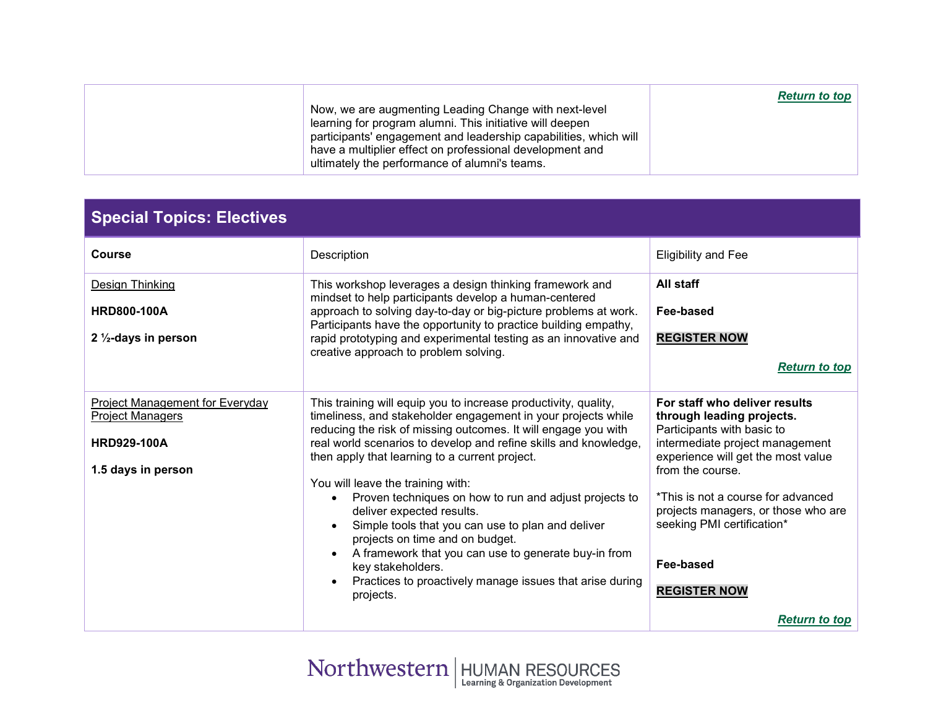| Now, we are augmenting Leading Change with next-level<br>learning for program alumni. This initiative will deepen<br>participants' engagement and leadership capabilities, which will<br>have a multiplier effect on professional development and | <b>Return to top</b> |
|---------------------------------------------------------------------------------------------------------------------------------------------------------------------------------------------------------------------------------------------------|----------------------|
| ultimately the performance of alumni's teams.                                                                                                                                                                                                     |                      |

<span id="page-10-1"></span><span id="page-10-0"></span>

| <b>Special Topics: Electives</b>                                                                              |                                                                                                                                                                                                                                                                                                                                                                                                                                                                                                                                                                                                                                                                                                    |                                                                                                                                                                                                                                                                                                                                                              |
|---------------------------------------------------------------------------------------------------------------|----------------------------------------------------------------------------------------------------------------------------------------------------------------------------------------------------------------------------------------------------------------------------------------------------------------------------------------------------------------------------------------------------------------------------------------------------------------------------------------------------------------------------------------------------------------------------------------------------------------------------------------------------------------------------------------------------|--------------------------------------------------------------------------------------------------------------------------------------------------------------------------------------------------------------------------------------------------------------------------------------------------------------------------------------------------------------|
| <b>Course</b>                                                                                                 | Description                                                                                                                                                                                                                                                                                                                                                                                                                                                                                                                                                                                                                                                                                        | <b>Eligibility and Fee</b>                                                                                                                                                                                                                                                                                                                                   |
| Design Thinking<br><b>HRD800-100A</b><br>2 $\frac{1}{2}$ -days in person                                      | This workshop leverages a design thinking framework and<br>mindset to help participants develop a human-centered<br>approach to solving day-to-day or big-picture problems at work.<br>Participants have the opportunity to practice building empathy,<br>rapid prototyping and experimental testing as an innovative and<br>creative approach to problem solving.                                                                                                                                                                                                                                                                                                                                 | All staff<br>Fee-based<br><b>REGISTER NOW</b><br><b>Return to top</b>                                                                                                                                                                                                                                                                                        |
| <b>Project Management for Everyday</b><br><b>Project Managers</b><br><b>HRD929-100A</b><br>1.5 days in person | This training will equip you to increase productivity, quality,<br>timeliness, and stakeholder engagement in your projects while<br>reducing the risk of missing outcomes. It will engage you with<br>real world scenarios to develop and refine skills and knowledge,<br>then apply that learning to a current project.<br>You will leave the training with:<br>Proven techniques on how to run and adjust projects to<br>deliver expected results.<br>Simple tools that you can use to plan and deliver<br>projects on time and on budget.<br>A framework that you can use to generate buy-in from<br>key stakeholders.<br>Practices to proactively manage issues that arise during<br>projects. | For staff who deliver results<br>through leading projects.<br>Participants with basic to<br>intermediate project management<br>experience will get the most value<br>from the course.<br>*This is not a course for advanced<br>projects managers, or those who are<br>seeking PMI certification*<br>Fee-based<br><b>REGISTER NOW</b><br><b>Return to top</b> |
|                                                                                                               |                                                                                                                                                                                                                                                                                                                                                                                                                                                                                                                                                                                                                                                                                                    |                                                                                                                                                                                                                                                                                                                                                              |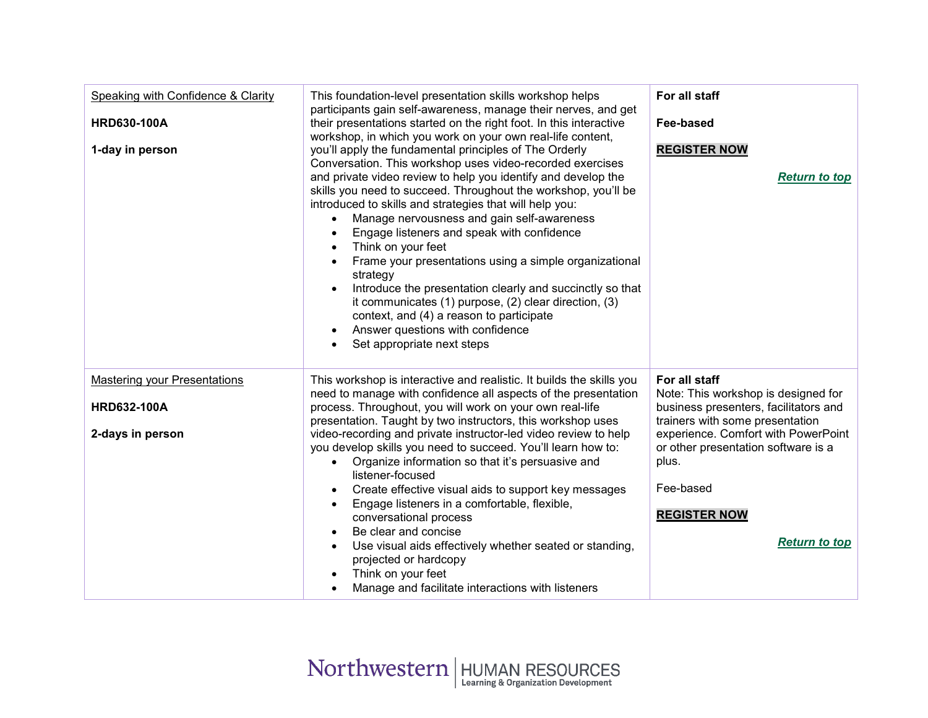<span id="page-11-1"></span><span id="page-11-0"></span>

| Speaking with Confidence & Clarity<br><b>HRD630-100A</b><br>1-day in person   | This foundation-level presentation skills workshop helps<br>participants gain self-awareness, manage their nerves, and get<br>their presentations started on the right foot. In this interactive<br>workshop, in which you work on your own real-life content,<br>you'll apply the fundamental principles of The Orderly<br>Conversation. This workshop uses video-recorded exercises<br>and private video review to help you identify and develop the<br>skills you need to succeed. Throughout the workshop, you'll be<br>introduced to skills and strategies that will help you:<br>Manage nervousness and gain self-awareness<br>$\bullet$<br>Engage listeners and speak with confidence<br>$\bullet$<br>Think on your feet<br>$\bullet$<br>Frame your presentations using a simple organizational<br>$\bullet$<br>strategy<br>Introduce the presentation clearly and succinctly so that<br>it communicates (1) purpose, (2) clear direction, (3)<br>context, and (4) a reason to participate<br>Answer questions with confidence<br>Set appropriate next steps<br>$\bullet$ | For all staff<br>Fee-based<br><b>REGISTER NOW</b><br><b>Return to top</b>                                                                                                                                                                                                           |
|-------------------------------------------------------------------------------|----------------------------------------------------------------------------------------------------------------------------------------------------------------------------------------------------------------------------------------------------------------------------------------------------------------------------------------------------------------------------------------------------------------------------------------------------------------------------------------------------------------------------------------------------------------------------------------------------------------------------------------------------------------------------------------------------------------------------------------------------------------------------------------------------------------------------------------------------------------------------------------------------------------------------------------------------------------------------------------------------------------------------------------------------------------------------------|-------------------------------------------------------------------------------------------------------------------------------------------------------------------------------------------------------------------------------------------------------------------------------------|
| <b>Mastering your Presentations</b><br><b>HRD632-100A</b><br>2-days in person | This workshop is interactive and realistic. It builds the skills you<br>need to manage with confidence all aspects of the presentation<br>process. Throughout, you will work on your own real-life<br>presentation. Taught by two instructors, this workshop uses<br>video-recording and private instructor-led video review to help<br>you develop skills you need to succeed. You'll learn how to:<br>Organize information so that it's persuasive and<br>$\bullet$<br>listener-focused<br>Create effective visual aids to support key messages<br>Engage listeners in a comfortable, flexible,<br>conversational process<br>Be clear and concise<br>Use visual aids effectively whether seated or standing,<br>projected or hardcopy<br>Think on your feet<br>Manage and facilitate interactions with listeners                                                                                                                                                                                                                                                               | For all staff<br>Note: This workshop is designed for<br>business presenters, facilitators and<br>trainers with some presentation<br>experience. Comfort with PowerPoint<br>or other presentation software is a<br>plus.<br>Fee-based<br><b>REGISTER NOW</b><br><b>Return to top</b> |